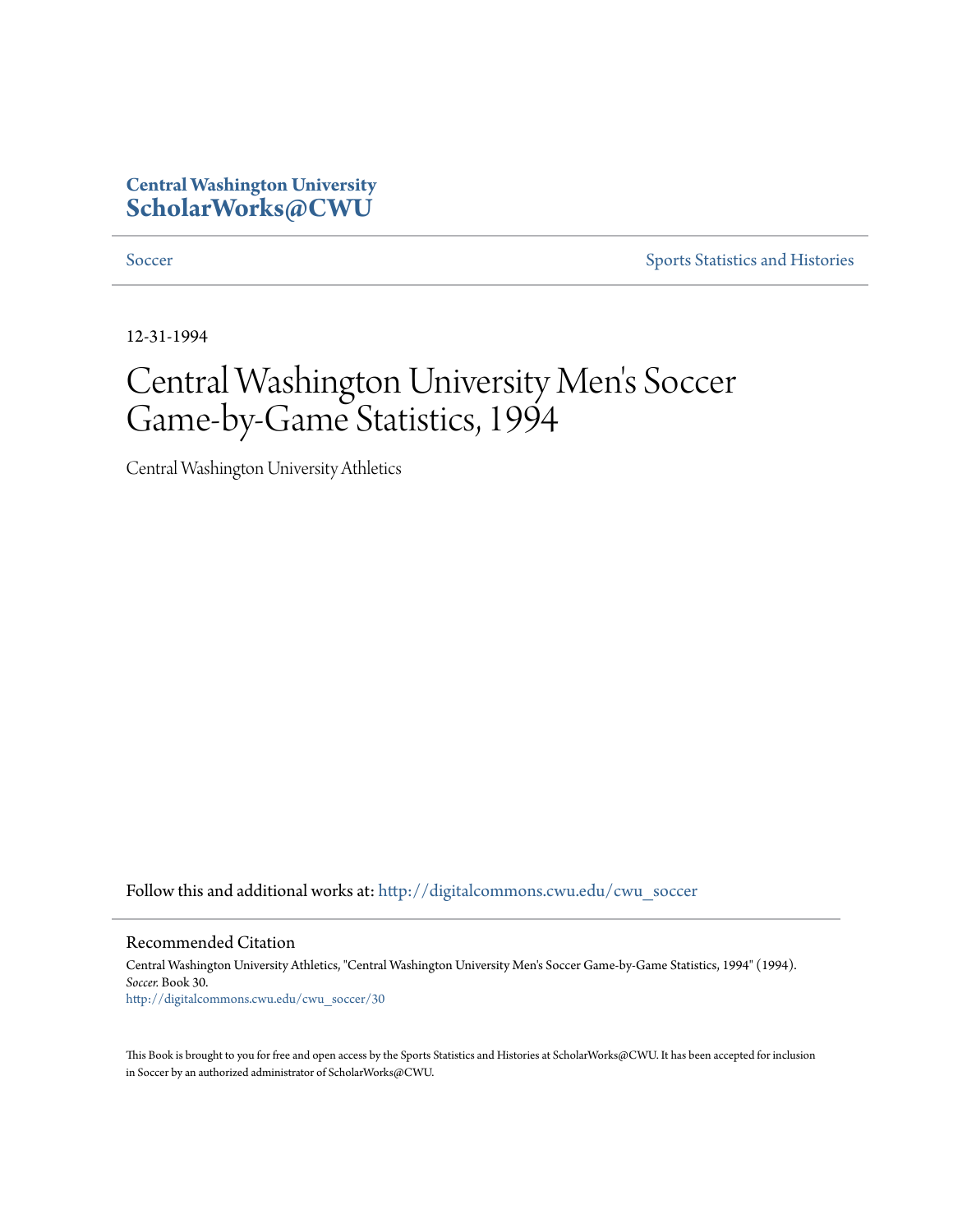### **Central Washington University [ScholarWorks@CWU](http://digitalcommons.cwu.edu?utm_source=digitalcommons.cwu.edu%2Fcwu_soccer%2F30&utm_medium=PDF&utm_campaign=PDFCoverPages)**

[Soccer](http://digitalcommons.cwu.edu/cwu_soccer?utm_source=digitalcommons.cwu.edu%2Fcwu_soccer%2F30&utm_medium=PDF&utm_campaign=PDFCoverPages) [Sports Statistics and Histories](http://digitalcommons.cwu.edu/cwu_sports_statistics?utm_source=digitalcommons.cwu.edu%2Fcwu_soccer%2F30&utm_medium=PDF&utm_campaign=PDFCoverPages)

12-31-1994

# Central Washington University Men 's Soccer Game-by-Game Statistics, 1994

Central Washington University Athletics

Follow this and additional works at: [http://digitalcommons.cwu.edu/cwu\\_soccer](http://digitalcommons.cwu.edu/cwu_soccer?utm_source=digitalcommons.cwu.edu%2Fcwu_soccer%2F30&utm_medium=PDF&utm_campaign=PDFCoverPages)

Recommended Citation

Central Washington University Athletics, "Central Washington University Men's Soccer Game-by-Game Statistics, 1994" (1994). *Soccer.* Book 30. [http://digitalcommons.cwu.edu/cwu\\_soccer/30](http://digitalcommons.cwu.edu/cwu_soccer/30?utm_source=digitalcommons.cwu.edu%2Fcwu_soccer%2F30&utm_medium=PDF&utm_campaign=PDFCoverPages)

This Book is brought to you for free and open access by the Sports Statistics and Histories at ScholarWorks@CWU. It has been accepted for inclusion in Soccer by an authorized administrator of ScholarWorks@CWU.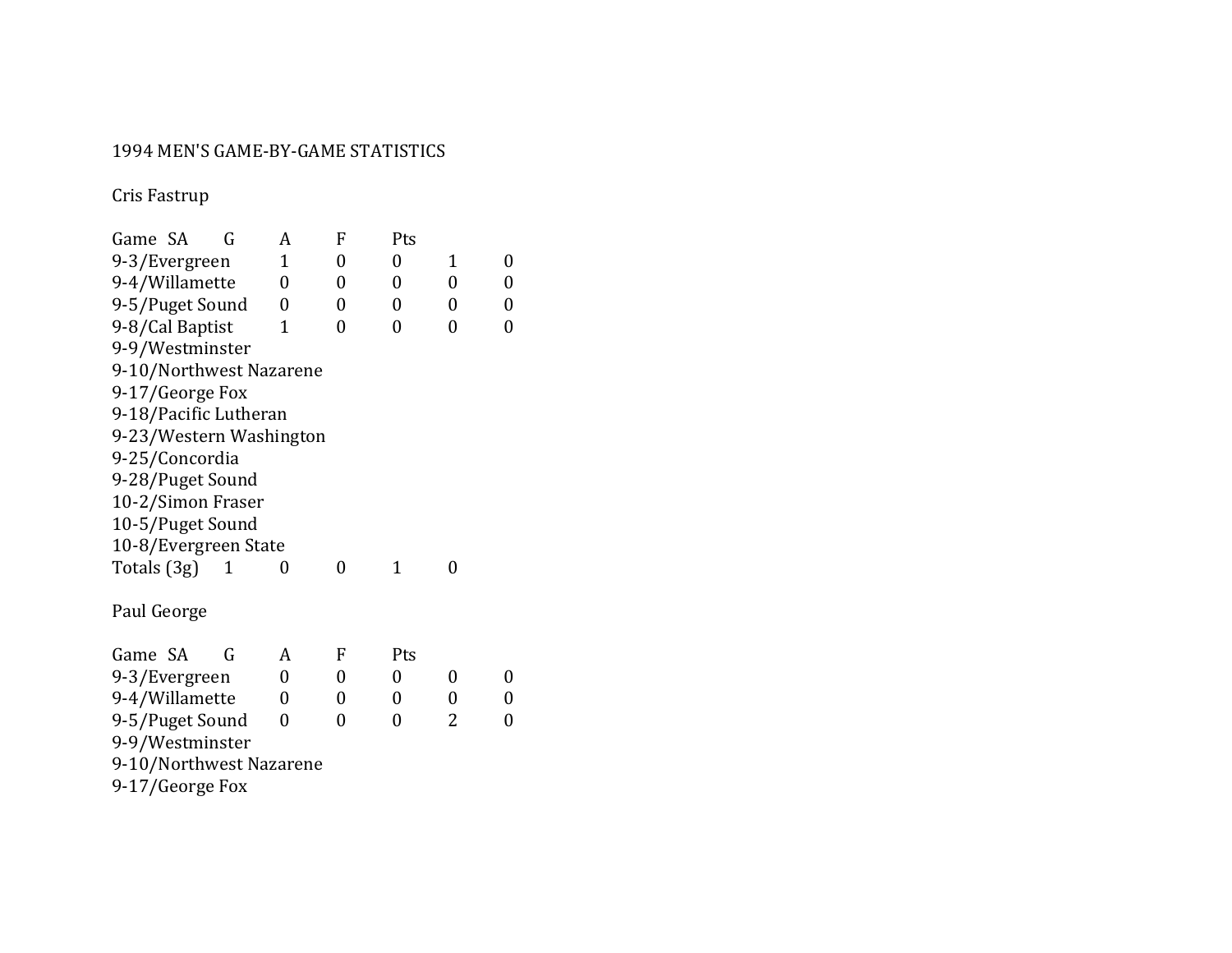#### 1994 MEN'S GAME-BY-GAME STATISTICS

Cris Fastrup

| Game SA     |                   | G                       | A | F              | Pts          |                |                |
|-------------|-------------------|-------------------------|---|----------------|--------------|----------------|----------------|
|             | 9-3/Evergreen     |                         | 1 | 0              | 0            | 1              | 0              |
|             | 9-4/Willamette    |                         | 0 | $\overline{0}$ | 0            | 0              | 0              |
|             | 9-5/Puget Sound   |                         | 0 | 0              | 0            | $\overline{0}$ | 0              |
|             | 9-8/Cal Baptist   |                         | 1 | 0              | 0            | 0              | $\overline{0}$ |
|             | 9-9/Westminster   |                         |   |                |              |                |                |
|             |                   | 9-10/Northwest Nazarene |   |                |              |                |                |
|             | 9-17/George Fox   |                         |   |                |              |                |                |
|             |                   | 9-18/Pacific Lutheran   |   |                |              |                |                |
|             |                   | 9-23/Western Washington |   |                |              |                |                |
|             | 9-25/Concordia    |                         |   |                |              |                |                |
|             | 9-28/Puget Sound  |                         |   |                |              |                |                |
|             | 10-2/Simon Fraser |                         |   |                |              |                |                |
|             | 10-5/Puget Sound  |                         |   |                |              |                |                |
|             |                   | 10-8/Evergreen State    |   |                |              |                |                |
| Totals (3g) |                   | 1                       | 0 | 0              | $\mathbf{1}$ | 0              |                |
| Paul George |                   |                         |   |                |              |                |                |
| Game SA     |                   | G                       | A | F              | Pts          |                |                |
|             | 9-3/Evergreen     |                         | 0 | 0              | 0            | 0              | 0              |
|             | 9-4/Willamette    |                         | 0 | 0              | 0            | 0              | $\overline{0}$ |
|             | 9-5/Puget Sound   |                         | 0 | 0              | 0            | 2              | 0              |
|             | 9-9/Westminster   |                         |   |                |              |                |                |
|             |                   | 9-10/Northwest Nazarene |   |                |              |                |                |

9-17/George Fox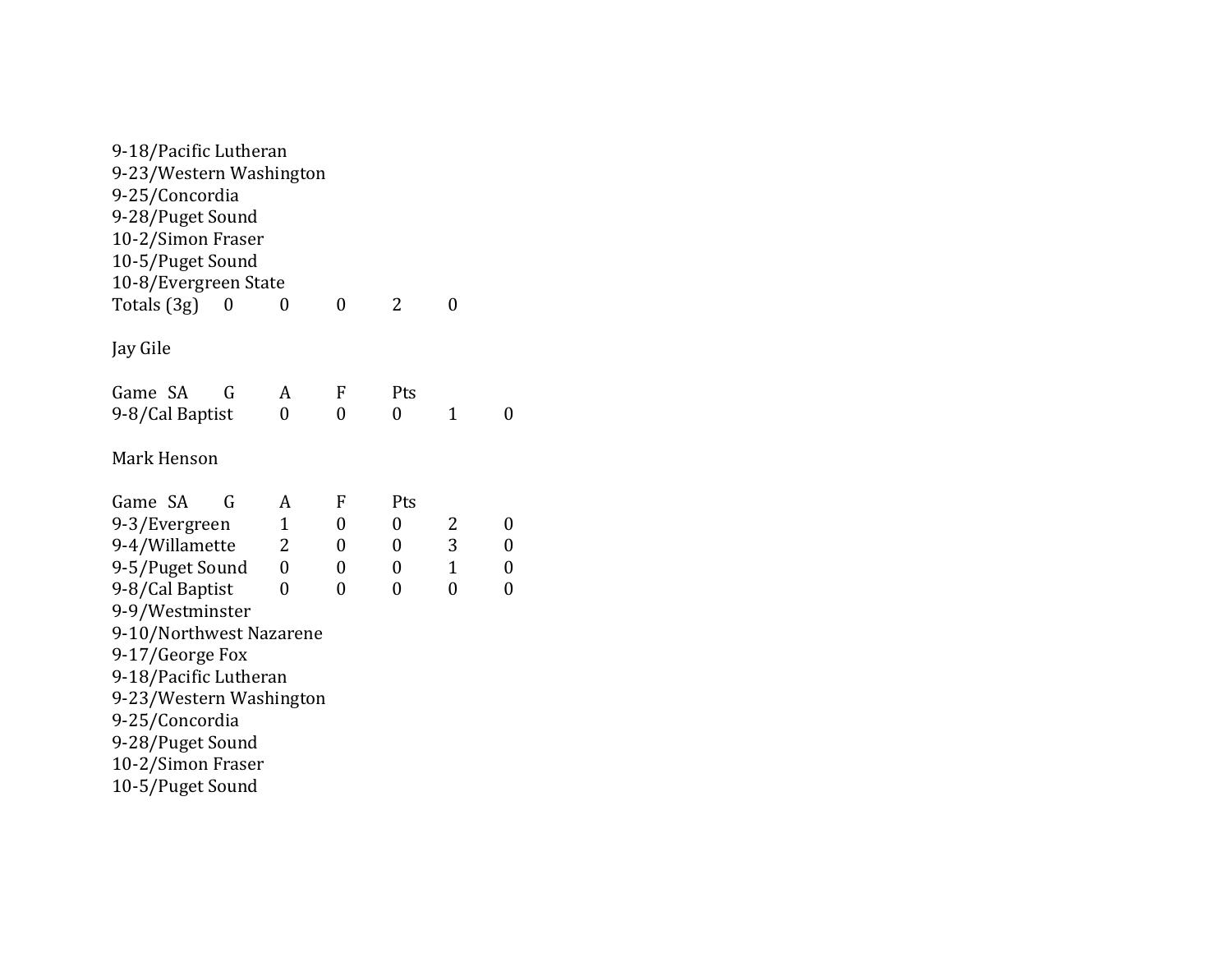| 9-18/Pacific Lutheran   |                |                |                |              |   |
|-------------------------|----------------|----------------|----------------|--------------|---|
| 9-23/Western Washington |                |                |                |              |   |
| 9-25/Concordia          |                |                |                |              |   |
| 9-28/Puget Sound        |                |                |                |              |   |
| 10-2/Simon Fraser       |                |                |                |              |   |
| 10-5/Puget Sound        |                |                |                |              |   |
| 10-8/Evergreen State    |                |                |                |              |   |
| Totals (3g)<br>0        | 0              | $\overline{0}$ | 2              | 0            |   |
| Jay Gile                |                |                |                |              |   |
| Game SA<br>G            | A              | F              | Pts            |              |   |
| 9-8/Cal Baptist         | 0              | 0              | $\overline{0}$ | 1            | 0 |
| Mark Henson             |                |                |                |              |   |
| Game SA<br>G            | A              | F              | Pts            |              |   |
| 9-3/Evergreen           | $\mathbf{1}$   | 0              | 0              | 2            | 0 |
| 9-4/Willamette          | 2              | 0              | 0              | 3            | 0 |
| 9-5/Puget Sound         | $\overline{0}$ | 0              | 0              | $\mathbf{1}$ | 0 |
| 9-8/Cal Baptist         | 0              | 0              | 0              | 0            | 0 |
| 9-9/Westminster         |                |                |                |              |   |
| 9-10/Northwest Nazarene |                |                |                |              |   |
| 9-17/George Fox         |                |                |                |              |   |
| 9-18/Pacific Lutheran   |                |                |                |              |   |
| 9-23/Western Washington |                |                |                |              |   |
| 9-25/Concordia          |                |                |                |              |   |
| 9-28/Puget Sound        |                |                |                |              |   |
| 10-2/Simon Fraser       |                |                |                |              |   |
| 10-5/Puget Sound        |                |                |                |              |   |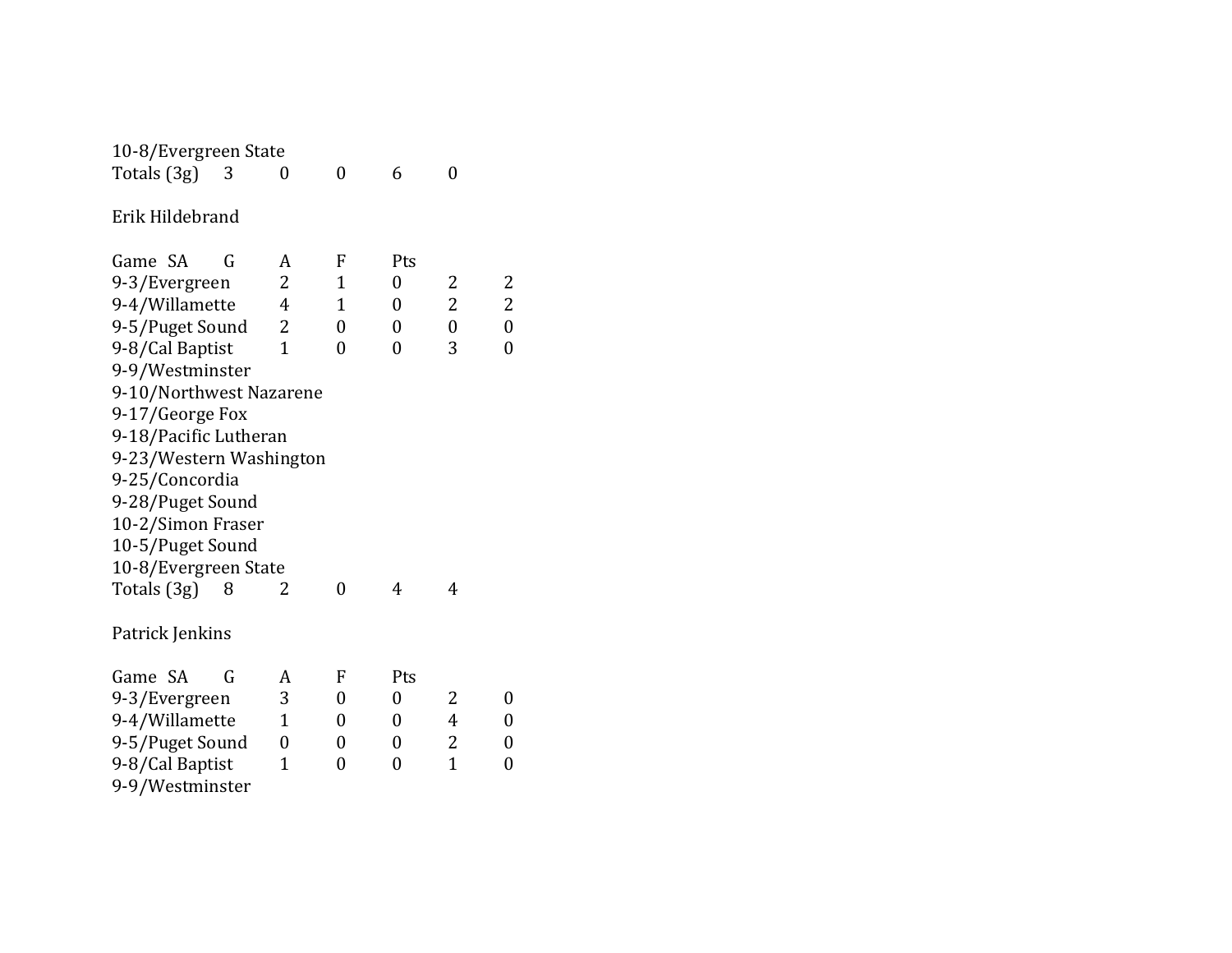| 10-8/Evergreen State    |   |                |                |                  |                |                  |
|-------------------------|---|----------------|----------------|------------------|----------------|------------------|
| Totals (3g)             | 3 | 0              | $\overline{0}$ | 6                | $\overline{0}$ |                  |
| Erik Hildebrand         |   |                |                |                  |                |                  |
| Game SA                 | G | A              | F              | Pts              |                |                  |
| 9-3/Evergreen           |   | 2              | $\mathbf{1}$   | $\overline{0}$   | 2              | 2                |
| 9-4/Willamette          |   | 4              | $\mathbf{1}$   | 0                | $\overline{2}$ | $\overline{2}$   |
| 9-5/Puget Sound         |   | 2              | $\overline{0}$ | $\boldsymbol{0}$ | $\overline{0}$ | $\boldsymbol{0}$ |
| 9-8/Cal Baptist         |   | $\overline{1}$ | $\overline{0}$ | $\overline{0}$   | 3              | $\overline{0}$   |
| 9-9/Westminster         |   |                |                |                  |                |                  |
| 9-10/Northwest Nazarene |   |                |                |                  |                |                  |
| 9-17/George Fox         |   |                |                |                  |                |                  |
| 9-18/Pacific Lutheran   |   |                |                |                  |                |                  |
| 9-23/Western Washington |   |                |                |                  |                |                  |
| 9-25/Concordia          |   |                |                |                  |                |                  |
| 9-28/Puget Sound        |   |                |                |                  |                |                  |
| 10-2/Simon Fraser       |   |                |                |                  |                |                  |
| 10-5/Puget Sound        |   |                |                |                  |                |                  |
| 10-8/Evergreen State    |   |                |                |                  |                |                  |
| Totals (3g)             | 8 | 2              | $\overline{0}$ | 4                | 4              |                  |
| Patrick Jenkins         |   |                |                |                  |                |                  |
| Game SA                 | G | A              | F              | Pts              |                |                  |
| 9-3/Evergreen           |   | 3              | 0              | $\boldsymbol{0}$ | 2              | 0                |
| 9-4/Willamette          |   | $\mathbf 1$    | 0              | 0                | 4              | $\overline{0}$   |
| 9-5/Puget Sound         |   | $\overline{0}$ | 0              | 0                | 2              | 0                |
| 9-8/Cal Baptist         |   | 1              | 0              | 0                | $\mathbf{1}$   | 0                |
| 9-9/Westminster         |   |                |                |                  |                |                  |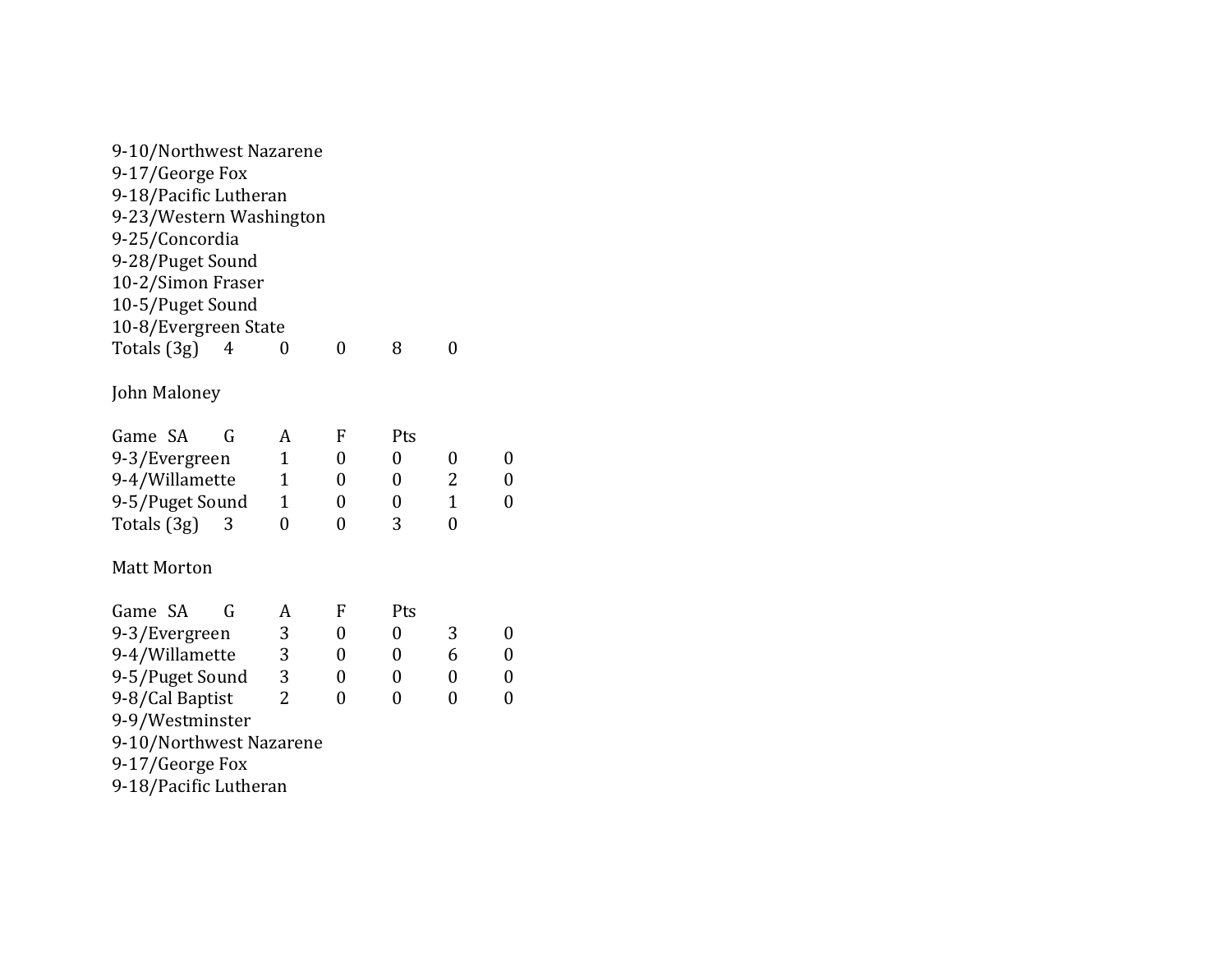| 9-10/Northwest Nazarene |   |                |                |                  |                |                  |
|-------------------------|---|----------------|----------------|------------------|----------------|------------------|
| 9-17/George Fox         |   |                |                |                  |                |                  |
| 9-18/Pacific Lutheran   |   |                |                |                  |                |                  |
| 9-23/Western Washington |   |                |                |                  |                |                  |
| 9-25/Concordia          |   |                |                |                  |                |                  |
| 9-28/Puget Sound        |   |                |                |                  |                |                  |
| 10-2/Simon Fraser       |   |                |                |                  |                |                  |
| 10-5/Puget Sound        |   |                |                |                  |                |                  |
| 10-8/Evergreen State    |   |                |                |                  |                |                  |
| Totals (3g)             | 4 | 0              | $\overline{0}$ | 8                | 0              |                  |
| John Maloney            |   |                |                |                  |                |                  |
| Game SA                 | G | A              | F              | Pts              |                |                  |
| 9-3/Evergreen           |   | 1              | 0              | 0                | 0              | 0                |
| 9-4/Willamette          |   | $\mathbf{1}$   | $\overline{0}$ | 0                | 2              | $\boldsymbol{0}$ |
| 9-5/Puget Sound         |   | 1              | 0              | 0                | $\mathbf{1}$   | $\boldsymbol{0}$ |
| Totals (3g)             | 3 | $\overline{0}$ | $\overline{0}$ | 3                | $\overline{0}$ |                  |
| <b>Matt Morton</b>      |   |                |                |                  |                |                  |
| Game SA                 | G | A              | F              | Pts              |                |                  |
| 9-3/Evergreen           |   | 3              | 0              | $\boldsymbol{0}$ | 3              | $\boldsymbol{0}$ |
| 9-4/Willamette          |   | 3              | 0              | 0                | 6              | $\boldsymbol{0}$ |
| 9-5/Puget Sound         |   | 3              | 0              | 0                | 0              | $\boldsymbol{0}$ |
| 9-8/Cal Baptist         |   | $\overline{2}$ | $\overline{0}$ | $\overline{0}$   | $\overline{0}$ | $\boldsymbol{0}$ |
| 9-9/Westminster         |   |                |                |                  |                |                  |
| 9-10/Northwest Nazarene |   |                |                |                  |                |                  |
| 9-17/George Fox         |   |                |                |                  |                |                  |
| 9-18/Pacific Lutheran   |   |                |                |                  |                |                  |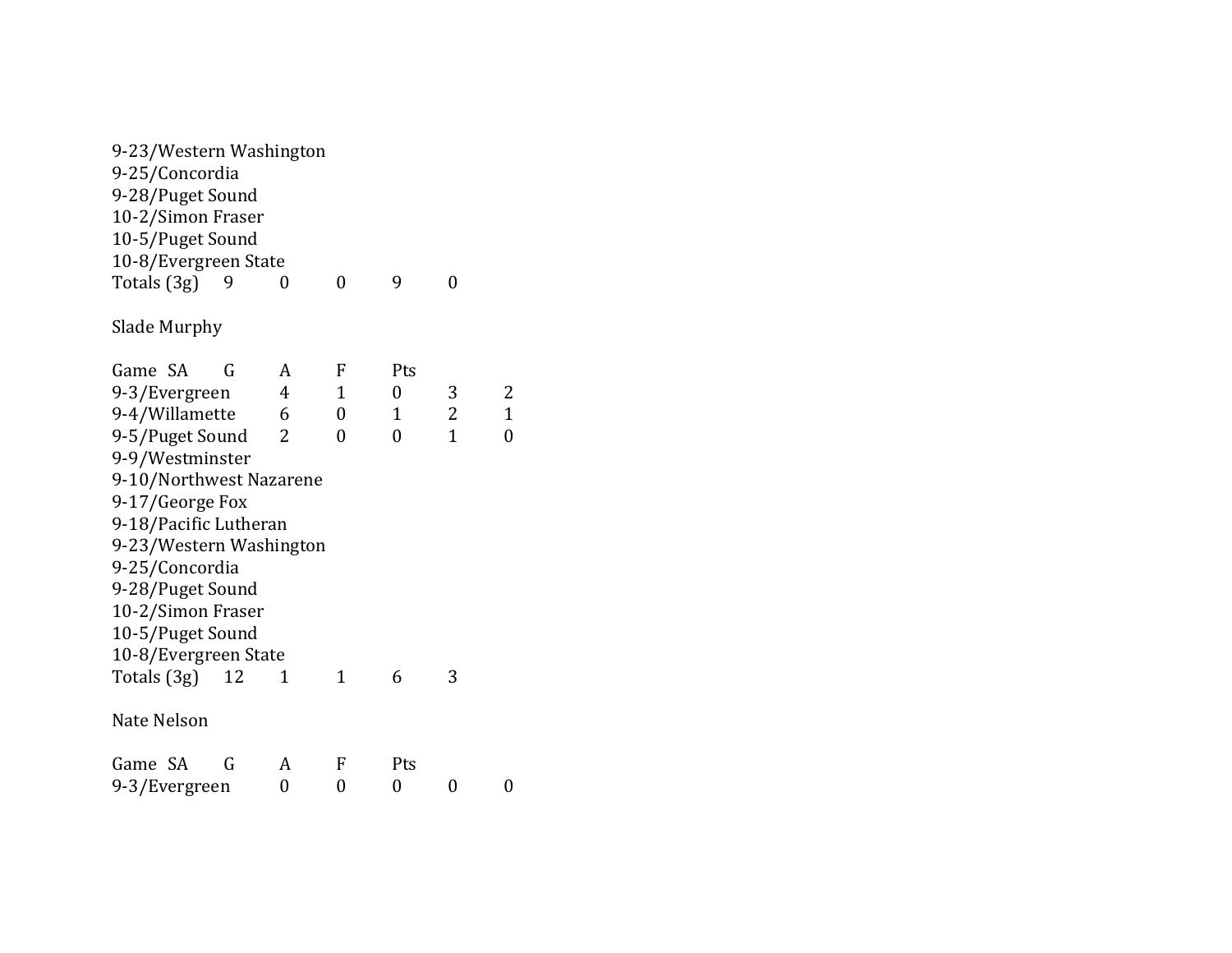| 9-23/Western Washington |    |                |             |          |                |                |
|-------------------------|----|----------------|-------------|----------|----------------|----------------|
| 9-25/Concordia          |    |                |             |          |                |                |
| 9-28/Puget Sound        |    |                |             |          |                |                |
| 10-2/Simon Fraser       |    |                |             |          |                |                |
| 10-5/Puget Sound        |    |                |             |          |                |                |
| 10-8/Evergreen State    |    |                |             |          |                |                |
| Totals (3g)<br>9        |    | 0              | $\theta$    | 9        | $\overline{0}$ |                |
| Slade Murphy            |    |                |             |          |                |                |
| Game SA                 | G  | A              | F           | Pts      |                |                |
| 9-3/Evergreen           |    | $\overline{4}$ | $\mathbf 1$ | 0        | 3              | 2              |
| 9-4/Willamette          |    | 6              | 0           | 1        | $\overline{c}$ | $\mathbf 1$    |
| 9-5/Puget Sound         |    | 2              | $\theta$    | $\theta$ | $\mathbf{1}$   | $\overline{0}$ |
| 9-9/Westminster         |    |                |             |          |                |                |
| 9-10/Northwest Nazarene |    |                |             |          |                |                |
| 9-17/George Fox         |    |                |             |          |                |                |
| 9-18/Pacific Lutheran   |    |                |             |          |                |                |
| 9-23/Western Washington |    |                |             |          |                |                |
| 9-25/Concordia          |    |                |             |          |                |                |
| 9-28/Puget Sound        |    |                |             |          |                |                |
| 10-2/Simon Fraser       |    |                |             |          |                |                |
| 10-5/Puget Sound        |    |                |             |          |                |                |
| 10-8/Evergreen State    |    |                |             |          |                |                |
| Totals (3g)             | 12 | 1              | $\mathbf 1$ | 6        | 3              |                |
| Nate Nelson             |    |                |             |          |                |                |
| Game SA                 | G  | A              | F           | Pts      |                |                |
| 9-3/Evergreen           |    | 0              | 0           | 0        | 0              | 0              |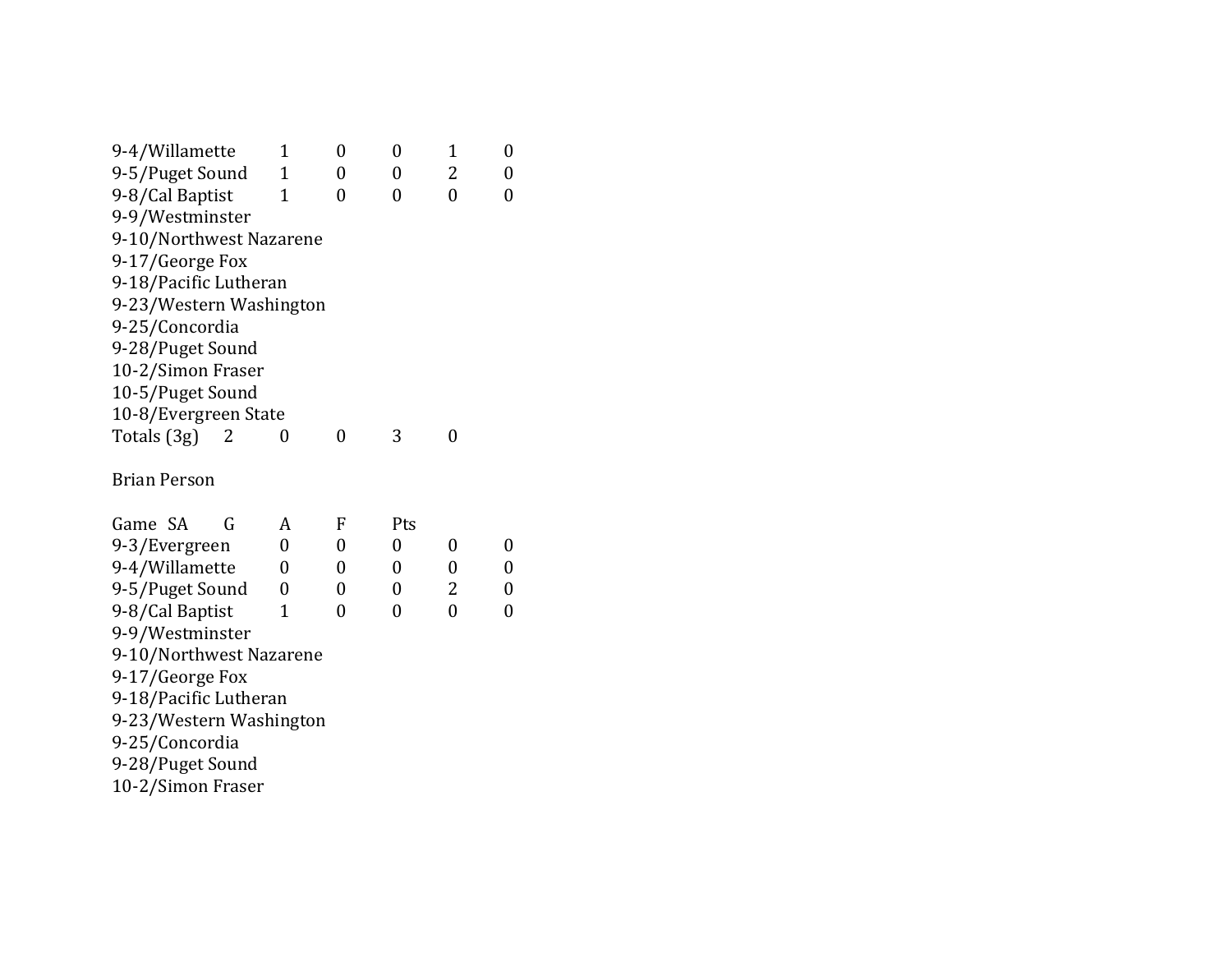| 9-4/Willamette          | 1 | $\overline{0}$ | 0   | $\overline{1}$ | $\boldsymbol{0}$ |
|-------------------------|---|----------------|-----|----------------|------------------|
| 9-5/Puget Sound         | 1 | 0              | 0   | 2              | 0                |
| 9-8/Cal Baptist         | 1 | $\overline{0}$ | 0   | $\theta$       | 0                |
| 9-9/Westminster         |   |                |     |                |                  |
| 9-10/Northwest Nazarene |   |                |     |                |                  |
| 9-17/George Fox         |   |                |     |                |                  |
| 9-18/Pacific Lutheran   |   |                |     |                |                  |
| 9-23/Western Washington |   |                |     |                |                  |
| 9-25/Concordia          |   |                |     |                |                  |
| 9-28/Puget Sound        |   |                |     |                |                  |
| 10-2/Simon Fraser       |   |                |     |                |                  |
| 10-5/Puget Sound        |   |                |     |                |                  |
| 10-8/Evergreen State    |   |                |     |                |                  |
| Totals (3g)<br>2        | 0 | $\overline{0}$ | 3   | 0              |                  |
| <b>Brian Person</b>     |   |                |     |                |                  |
| Game SA<br>G            | A | F              | Pts |                |                  |
| 9-3/Evergreen           | 0 | 0              | 0   | 0              | 0                |
| 9-4/Willamette          | 0 | 0              | 0   | 0              | 0                |
| 9-5/Puget Sound         | 0 | 0              | 0   | 2              | 0                |
| 9-8/Cal Baptist         | 1 | 0              | 0   | $\overline{0}$ | 0                |
| 9-9/Westminster         |   |                |     |                |                  |
| 9-10/Northwest Nazarene |   |                |     |                |                  |
| 9-17/George Fox         |   |                |     |                |                  |
| 9-18/Pacific Lutheran   |   |                |     |                |                  |
| 9-23/Western Washington |   |                |     |                |                  |
| 9-25/Concordia          |   |                |     |                |                  |
| 9-28/Puget Sound        |   |                |     |                |                  |
| 10-2/Simon Fraser       |   |                |     |                |                  |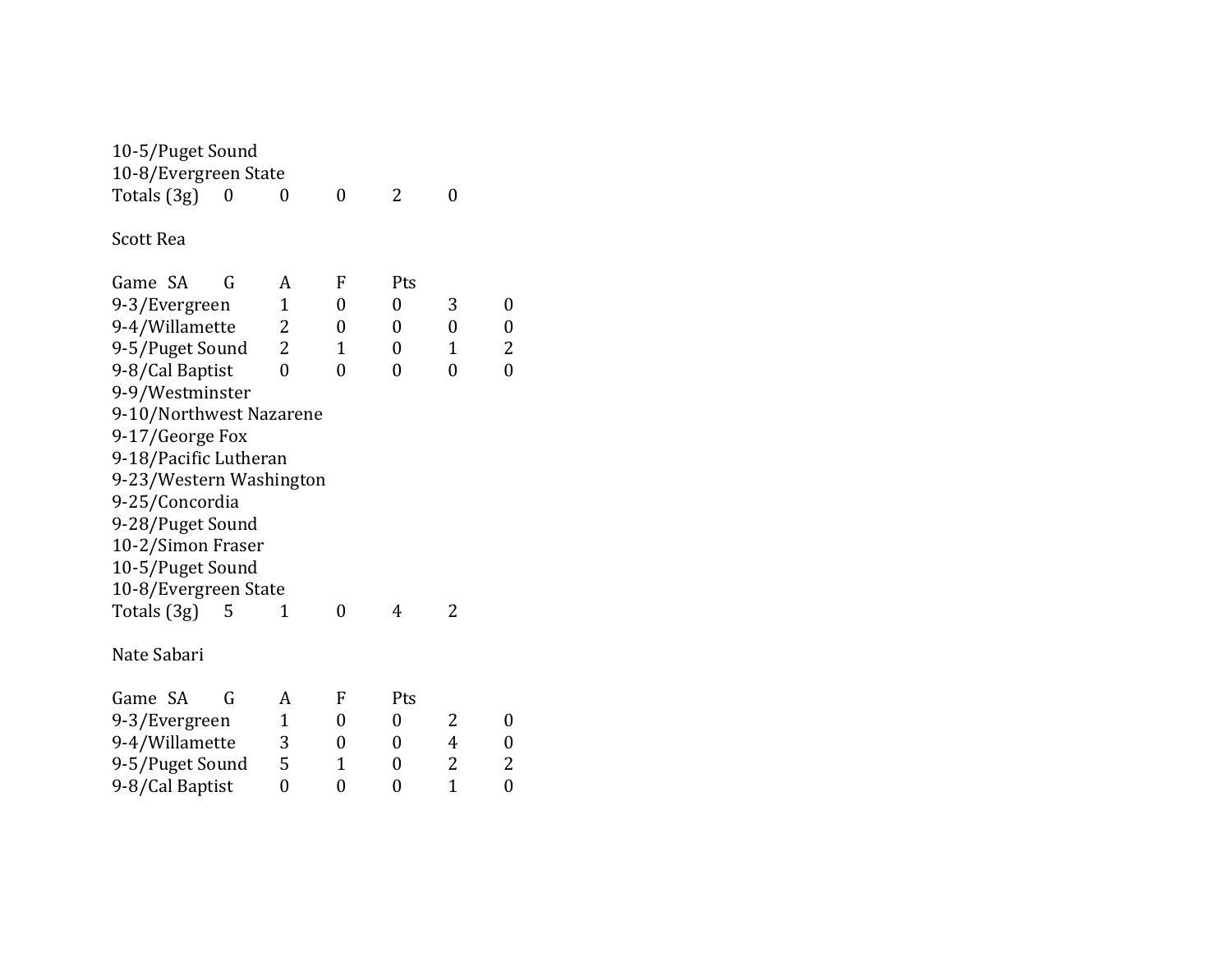| 10-5/Puget Sound<br>10-8/Evergreen State<br>Totals (3g)<br>0 | 0              | 0              | 2                | 0              |                |
|--------------------------------------------------------------|----------------|----------------|------------------|----------------|----------------|
| <b>Scott Rea</b>                                             |                |                |                  |                |                |
| Game SA<br>G                                                 | A              | F              | Pts              |                |                |
| 9-3/Evergreen                                                | $\mathbf{1}$   | $\overline{0}$ | $\overline{0}$   | 3              | $\overline{0}$ |
| 9-4/Willamette                                               | 2              | 0              | $\overline{0}$   | $\overline{0}$ | 0              |
| 9-5/Puget Sound                                              | $\overline{2}$ | $\mathbf{1}$   | 0                | $\mathbf{1}$   | 2              |
| 9-8/Cal Baptist                                              | $\overline{0}$ | $\overline{0}$ | $\overline{0}$   | $\overline{0}$ | $\overline{0}$ |
| 9-9/Westminster                                              |                |                |                  |                |                |
| 9-10/Northwest Nazarene                                      |                |                |                  |                |                |
| 9-17/George Fox                                              |                |                |                  |                |                |
| 9-18/Pacific Lutheran                                        |                |                |                  |                |                |
| 9-23/Western Washington                                      |                |                |                  |                |                |
| 9-25/Concordia                                               |                |                |                  |                |                |
| 9-28/Puget Sound                                             |                |                |                  |                |                |
| 10-2/Simon Fraser                                            |                |                |                  |                |                |
| 10-5/Puget Sound                                             |                |                |                  |                |                |
| 10-8/Evergreen State                                         |                |                |                  |                |                |
| Totals (3g)<br>5                                             | 1              | $\overline{0}$ | 4                | 2              |                |
| Nate Sabari                                                  |                |                |                  |                |                |
| Game SA<br>G                                                 | A              | F              | Pts              |                |                |
| 9-3/Evergreen                                                | $\mathbf{1}$   | 0              | $\boldsymbol{0}$ | 2              | 0              |
| 9-4/Willamette                                               | 3              | 0              | 0                | 4              | 0              |
| 9-5/Puget Sound                                              | 5              | 1              | 0                | 2              | 2              |
| 9-8/Cal Baptist                                              | $\overline{0}$ | 0              | 0                | $\overline{1}$ | $\overline{0}$ |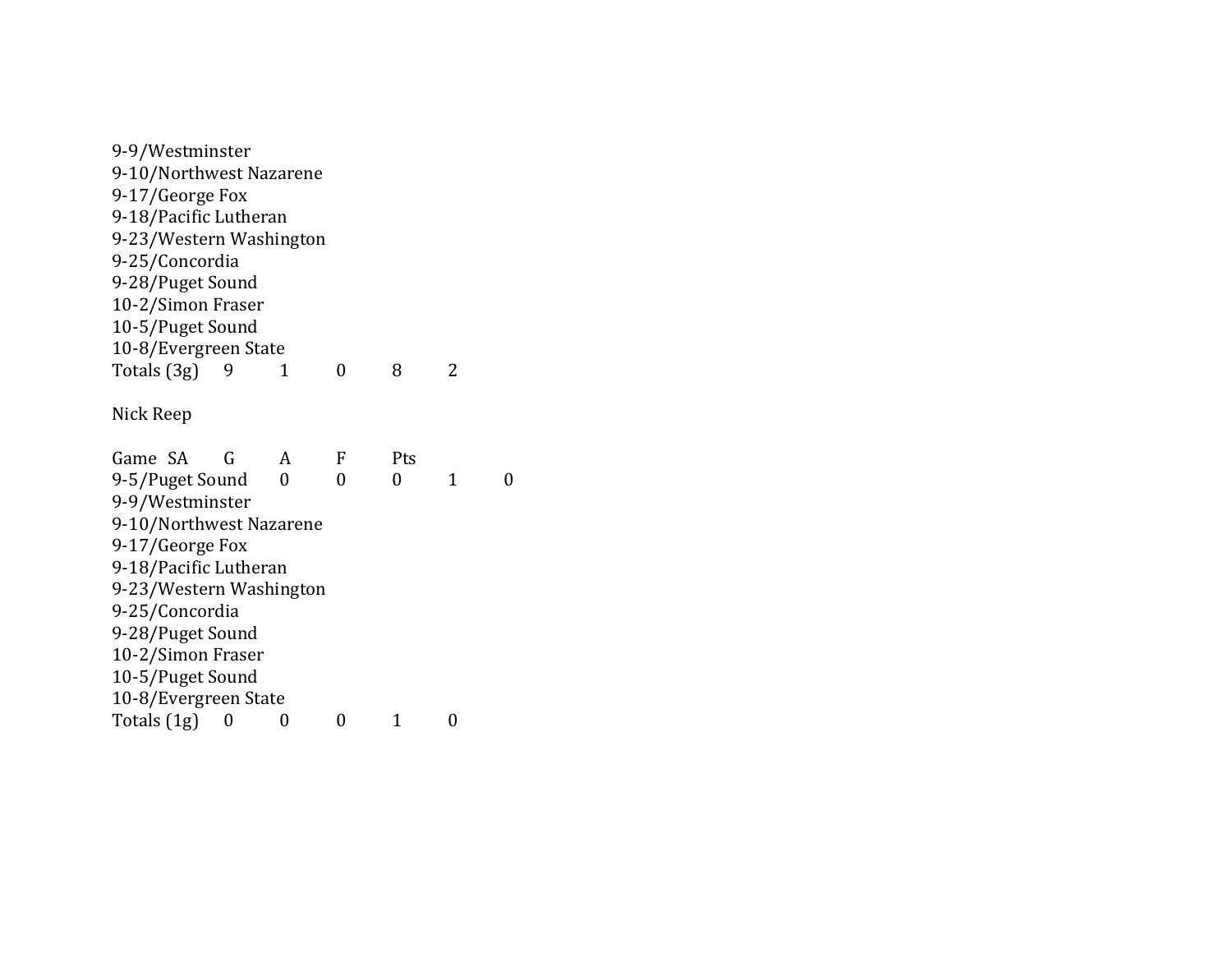9 -9/Westminster 9-10/Northwest Nazarene 9-17/George Fox 9-18/Pacific Lutheran 9 -23/Western Washington 9 -25/Concordia 9 -28/Puget Sound 10-2/Simon Fraser 10-5/Puget Sound 10 -8/Evergreen State Totals (3g) 9 1 0 8 2 Nick Reep Game SA G A F Pts 9 -5/Puget Sound 0 0 0 1 0 9 -9/Westminster 9 -10/Northwest Nazarene 9-17/George Fox 9-18/Pacific Lutheran 9 -23/Western Washington 9 -25/Concordia 9-28/Puget Sound 10-2/Simon Fraser 10-5/Puget Sound 10 -8/Evergreen State Totals  $(1g)$  0 0 0 1 0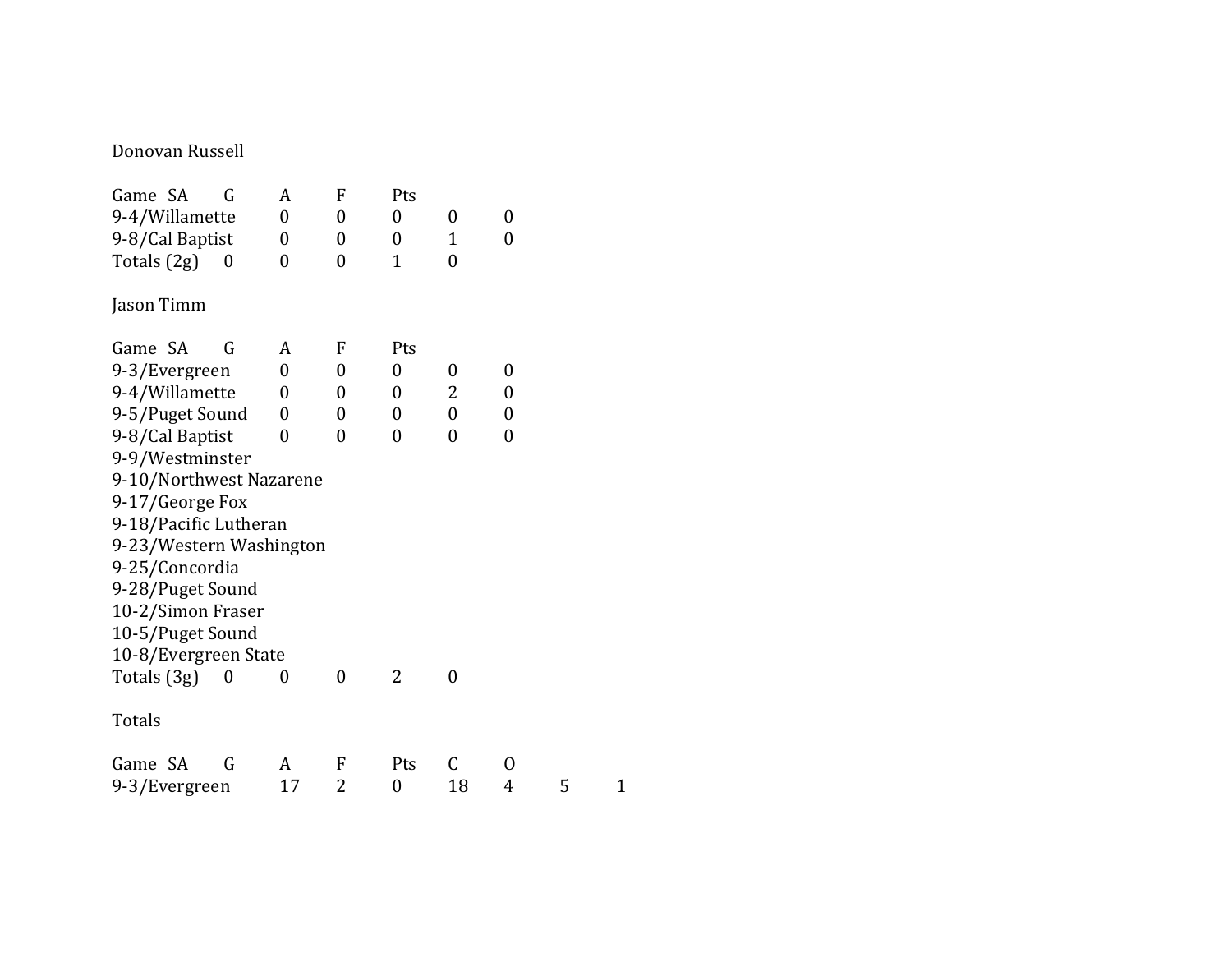#### Donovan Russell

| Game SA<br>G            | A                | F              | Pts              |                  |                |   |              |
|-------------------------|------------------|----------------|------------------|------------------|----------------|---|--------------|
| 9-4/Willamette          | $\boldsymbol{0}$ | 0              | 0                | 0                | 0              |   |              |
| 9-8/Cal Baptist         | $\boldsymbol{0}$ | $\overline{0}$ | $\boldsymbol{0}$ | $\mathbf{1}$     | $\overline{0}$ |   |              |
| Totals $(2g)$<br>0      | 0                | $\overline{0}$ | $\overline{1}$   | $\overline{0}$   |                |   |              |
| Jason Timm              |                  |                |                  |                  |                |   |              |
| Game SA<br>G            | A                | F              | Pts              |                  |                |   |              |
| 9-3/Evergreen           | $\theta$         | 0              | $\boldsymbol{0}$ | 0                | 0              |   |              |
| 9-4/Willamette          | $\theta$         | 0              | $\boldsymbol{0}$ | 2                | 0              |   |              |
| 9-5/Puget Sound         | $\boldsymbol{0}$ | 0              | 0                | $\boldsymbol{0}$ | 0              |   |              |
| 9-8/Cal Baptist         | 0                | $\theta$       | 0                | $\overline{0}$   | $\overline{0}$ |   |              |
| 9-9/Westminster         |                  |                |                  |                  |                |   |              |
| 9-10/Northwest Nazarene |                  |                |                  |                  |                |   |              |
| 9-17/George Fox         |                  |                |                  |                  |                |   |              |
| 9-18/Pacific Lutheran   |                  |                |                  |                  |                |   |              |
| 9-23/Western Washington |                  |                |                  |                  |                |   |              |
| 9-25/Concordia          |                  |                |                  |                  |                |   |              |
| 9-28/Puget Sound        |                  |                |                  |                  |                |   |              |
| 10-2/Simon Fraser       |                  |                |                  |                  |                |   |              |
| 10-5/Puget Sound        |                  |                |                  |                  |                |   |              |
| 10-8/Evergreen State    |                  |                |                  |                  |                |   |              |
| Totals (3g)<br>0        | 0                | $\overline{0}$ | 2                | $\boldsymbol{0}$ |                |   |              |
| Totals                  |                  |                |                  |                  |                |   |              |
| Game SA<br>G            | A                | F              | Pts              | $\mathsf C$      | 0              |   |              |
| 9-3/Evergreen           | 17               | 2              | 0                | 18               | 4              | 5 | $\mathbf{1}$ |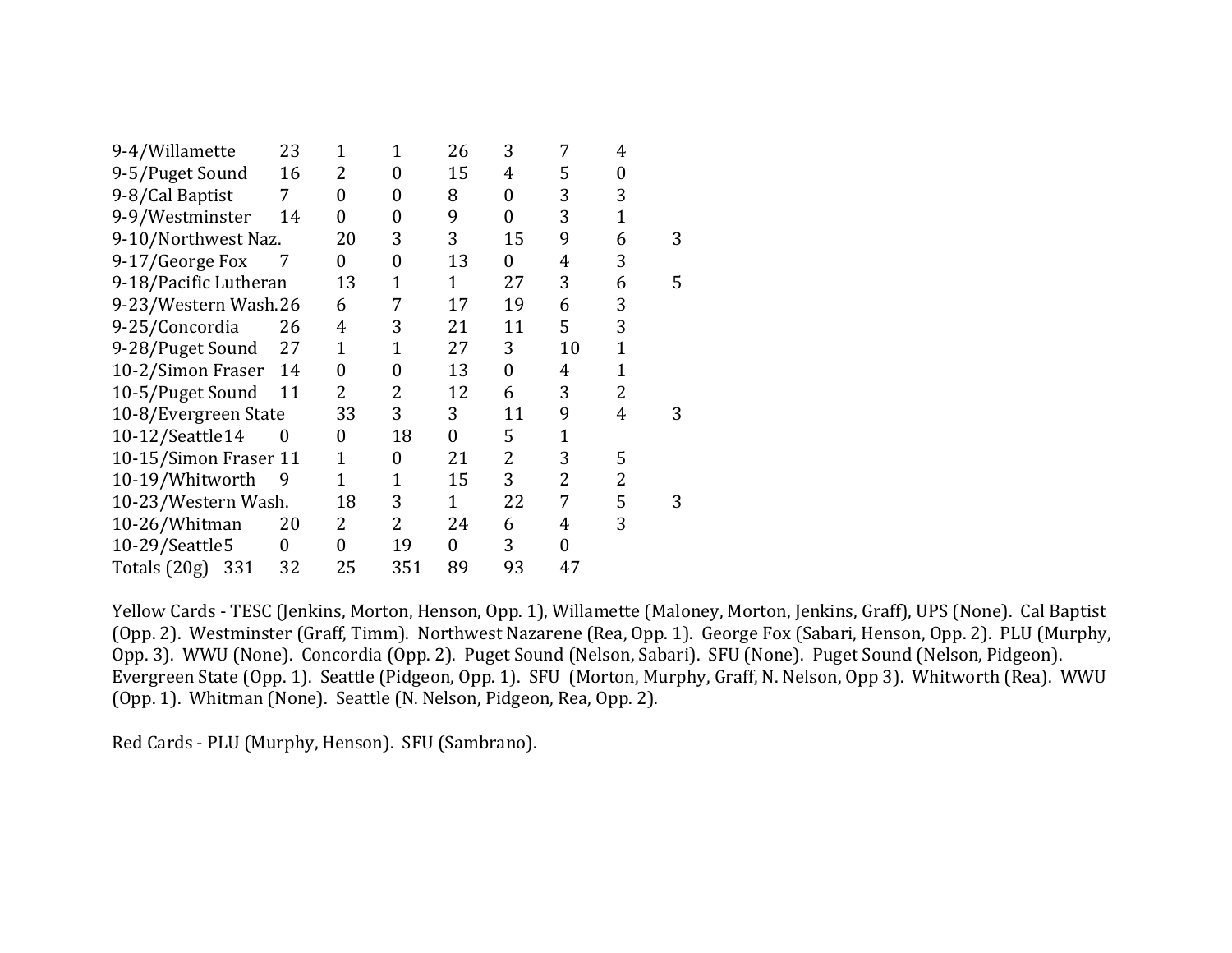| 9-4/Willamette        | 23 | 1              | 1              | 26 | 3              | 7  | 4              |   |
|-----------------------|----|----------------|----------------|----|----------------|----|----------------|---|
| 9-5/Puget Sound       | 16 | 2              | 0              | 15 | 4              | 5  | 0              |   |
| 9-8/Cal Baptist       | 7  | $\overline{0}$ | 0              | 8  | $\overline{0}$ | 3  | 3              |   |
| 9-9/Westminster       | 14 | 0              | 0              | 9  | 0              | 3  | $\overline{1}$ |   |
| 9-10/Northwest Naz.   |    | 20             | 3              | 3  | 15             | 9  | 6              | 3 |
| 9-17/George Fox       | 7  | 0              | 0              | 13 | 0              | 4  | 3              |   |
| 9-18/Pacific Lutheran |    | 13             | 1              | 1  | 27             | 3  | 6              | 5 |
| 9-23/Western Wash.26  |    | 6              | 7              | 17 | 19             | 6  | 3              |   |
| 9-25/Concordia        | 26 | 4              | 3              | 21 | 11             | 5  | 3              |   |
| 9-28/Puget Sound      | 27 | $\mathbf{1}$   | 1              | 27 | 3              | 10 | $\overline{1}$ |   |
| 10-2/Simon Fraser     | 14 | $\theta$       | 0              | 13 | 0              | 4  | $\overline{1}$ |   |
| 10-5/Puget Sound      | 11 | $\overline{2}$ | 2              | 12 | 6              | 3  | $\overline{2}$ |   |
| 10-8/Evergreen State  |    | 33             | 3              | 3  | 11             | 9  | 4              | 3 |
| 10-12/Seattle14       | 0  | 0              | 18             | 0  | 5              | 1  |                |   |
| 10-15/Simon Fraser 11 |    | $\mathbf{1}$   | 0              | 21 | 2              | 3  | 5              |   |
| 10-19/Whitworth       | 9  | 1              | 1              | 15 | 3              | 2  | 2              |   |
| 10-23/Western Wash.   |    | 18             | 3              | 1  | 22             | 7  | 5              | 3 |
| 10-26/Whitman         | 20 | 2              | $\overline{2}$ | 24 | 6              | 4  | 3              |   |
| 10-29/Seattle5        | 0  | 0              | 19             | 0  | 3              | 0  |                |   |
| Totals (20g)<br>331   | 32 | 25             | 351            | 89 | 93             | 47 |                |   |

Yellow Cards - TESC (Jenkins, Morton, Henson, Opp. 1), Willamette (Maloney, Morton, Jenkins, Graff), UPS (None). Cal Baptist (Opp. 2). Westminster (Graff, Timm). Northwest Nazarene (Rea, Opp. 1). George Fox (Sabari, Henson, Opp. 2). PLU (Murphy, Opp. 3). WWU (None). Concordia (Opp. 2). Puget Sound (Nelson, Sabari). SFU (None). Puget Sound (Nelson, Pidgeon). Evergreen State (Opp. 1). Seattle (Pidgeon, Opp. 1). SFU (Morton, Murphy, Graff, N. Nelson, Opp 3). Whitworth (Rea). WWU (Opp. 1). Whitman (None). Seattle (N. Nelson, Pidgeon, Rea, Opp. 2).

Red Cards - PLU (Murphy, Henson). SFU (Sambrano).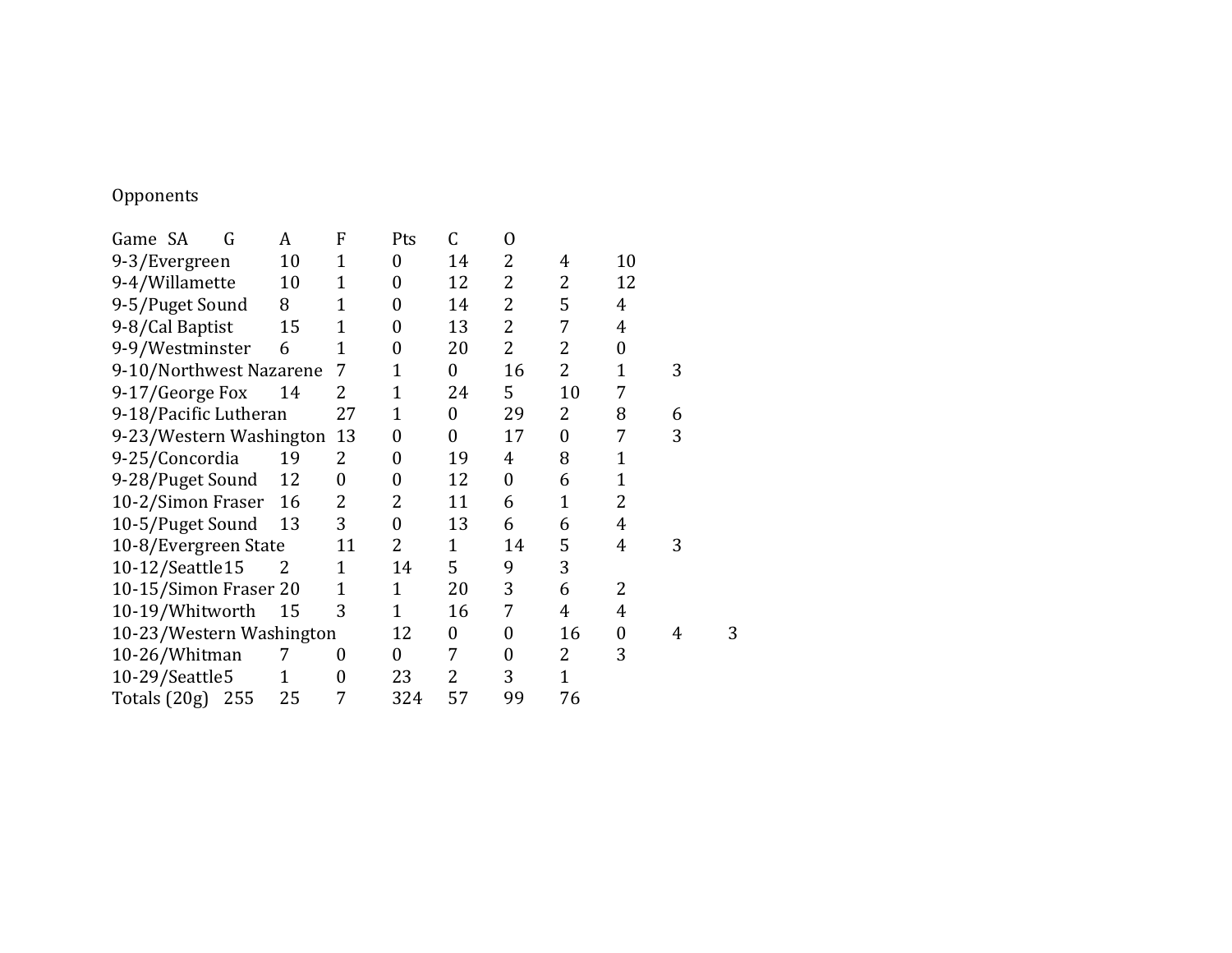# Opponents

| Game SA                 | G                        | A  | F              | Pts              | C                | $\mathbf{O}$     |                |    |   |
|-------------------------|--------------------------|----|----------------|------------------|------------------|------------------|----------------|----|---|
| 9-3/Evergreen           |                          | 10 | 1              | $\boldsymbol{0}$ | 14               | 2                | 4              | 10 |   |
| 9-4/Willamette          |                          | 10 | 1              | 0                | 12               | 2                | $\overline{2}$ | 12 |   |
| 9-5/Puget Sound         |                          | 8  | $\mathbf 1$    | 0                | 14               | 2                | 5              | 4  |   |
| 9-8/Cal Baptist         |                          | 15 | $\overline{1}$ | 0                | 13               | 2                | 7              | 4  |   |
| 9-9/Westminster         |                          | 6  | 1              | 0                | 20               | $\overline{2}$   | $\overline{2}$ | 0  |   |
| 9-10/Northwest Nazarene |                          |    | 7              | 1                | $\boldsymbol{0}$ | 16               | $\overline{2}$ | 1  | 3 |
| 9-17/George Fox         |                          | 14 | 2              | 1                | 24               | 5                | 10             | 7  |   |
| 9-18/Pacific Lutheran   |                          |    | 27             | 1                | 0                | 29               | 2              | 8  | 6 |
|                         | 9-23/Western Washington  |    | 13             | 0                | 0                | 17               | $\overline{0}$ | 7  | 3 |
| 9-25/Concordia          |                          | 19 | 2              | 0                | 19               | 4                | 8              | 1  |   |
| 9-28/Puget Sound        |                          | 12 | 0              | 0                | 12               | 0                | 6              | 1  |   |
| 10-2/Simon Fraser       |                          | 16 | 2              | 2                | 11               | 6                | $\mathbf{1}$   | 2  |   |
| 10-5/Puget Sound        |                          | 13 | 3              | $\boldsymbol{0}$ | 13               | 6                | 6              | 4  |   |
|                         | 10-8/Evergreen State     |    | 11             | 2                | 1                | 14               | 5              | 4  | 3 |
| 10-12/Seattle 15        |                          | 2  | 1              | 14               | 5                | 9                | 3              |    |   |
|                         | 10-15/Simon Fraser 20    |    | $\overline{1}$ | 1                | 20               | 3                | 6              | 2  |   |
| 10-19/Whitworth         |                          | 15 | 3              | 1                | 16               | 7                | 4              | 4  |   |
|                         | 10-23/Western Washington |    |                | 12               | 0                | $\boldsymbol{0}$ | 16             | 0  | 4 |
| 10-26/Whitman           |                          | 7  | 0              | 0                | 7                | 0                | 2              | 3  |   |
| 10-29/Seattle5          |                          | 1  | 0              | 23               | 2                | 3                | $\mathbf 1$    |    |   |
| Totals (20g) 255        |                          | 25 | 7              | 324              | 57               | 99               | 76             |    |   |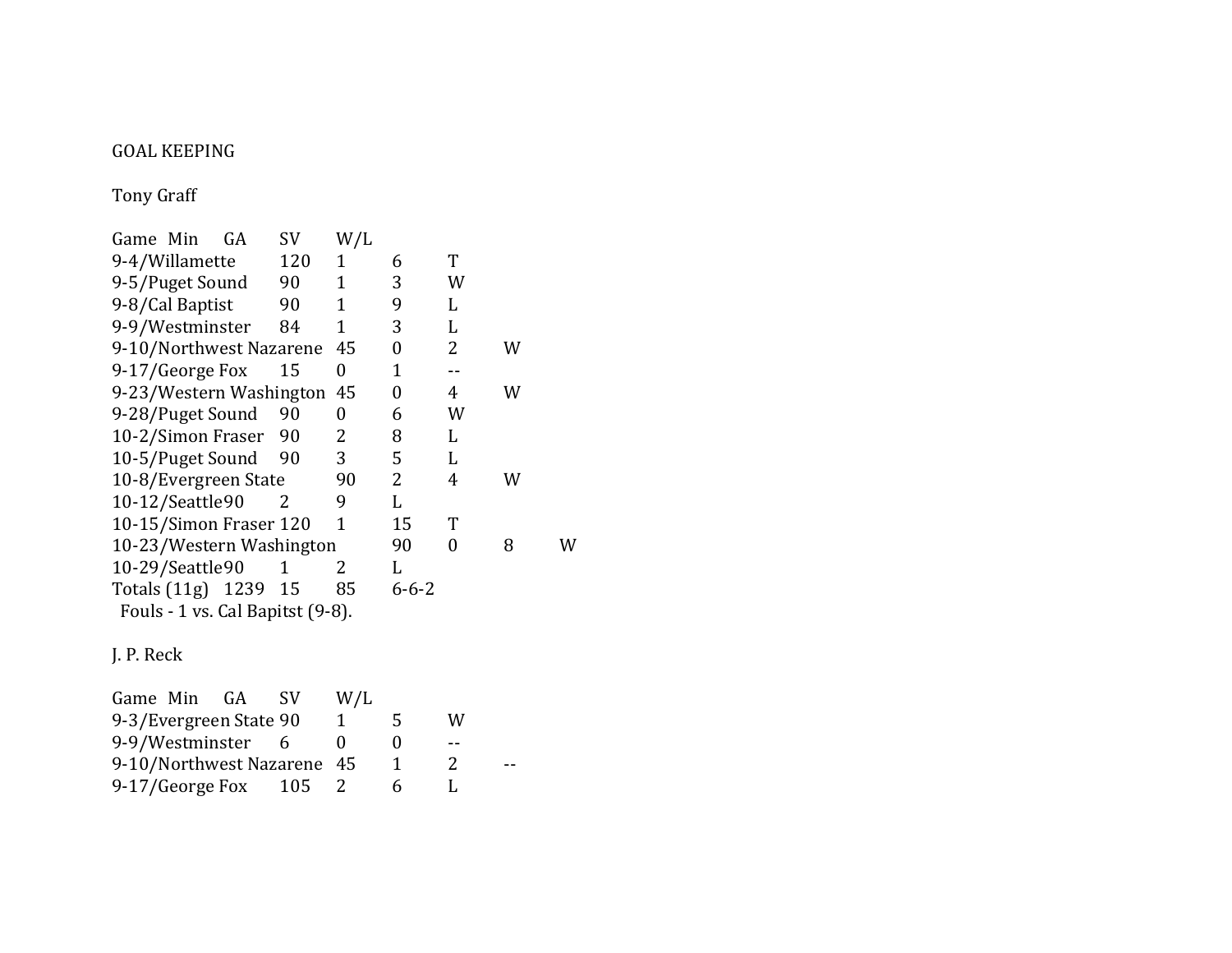#### **GOAL KEEPING**

Tony Graff

| Game Min<br>GA                   | SV  | W/L          |                |   |   |   |
|----------------------------------|-----|--------------|----------------|---|---|---|
| 9-4/Willamette                   | 120 | 1            | 6              | T |   |   |
| 9-5/Puget Sound                  | 90  | $\mathbf{1}$ | 3              | W |   |   |
| 9-8/Cal Baptist                  | 90  | 1            | 9              | L |   |   |
| 9-9/Westminster                  | 84  | 1            | 3              | L |   |   |
| 9-10/Northwest Nazarene          |     | 45           | 0              | 2 | W |   |
| 9-17/George Fox                  | 15  | 0            | $\mathbf 1$    |   |   |   |
| 9-23/Western Washington          |     | 45           | $\overline{0}$ | 4 | W |   |
| 9-28/Puget Sound                 | 90  | 0            | 6              | W |   |   |
| 10-2/Simon Fraser                | 90  | 2            | 8              | L |   |   |
| 10-5/Puget Sound                 | 90  | 3            | 5              | L |   |   |
| 10-8/Evergreen State             |     | 90           | 2              | 4 | W |   |
| 10-12/Seattle90                  | 2   | 9            | L              |   |   |   |
| 10-15/Simon Fraser 120           |     | 1            | 15             | T |   |   |
| 10-23/Western Washington         |     |              | 90             | 0 | 8 | W |
| 10-29/Seattle90                  | 1   | 2            | L              |   |   |   |
| Totals (11g) 1239 15             |     | 85           | $6 - 6 - 2$    |   |   |   |
| Fouls - 1 vs. Cal Bapitst (9-8). |     |              |                |   |   |   |
| J. P. Reck                       |     |              |                |   |   |   |

Game Min GA SV W/L 9-3/Evergreen State  $90$   $1$   $5$  W<br>9-9/Westminster  $6$   $0$   $0$  --9-9/Westminster 6 0 0 --<br>9-10/Northwest Nazarene 45 1 2 9-10/Northwest Nazarene 45 1 2 --<br>9-17/George Fox 105 2 6 L  $9-17/Ge$ orge Fox 105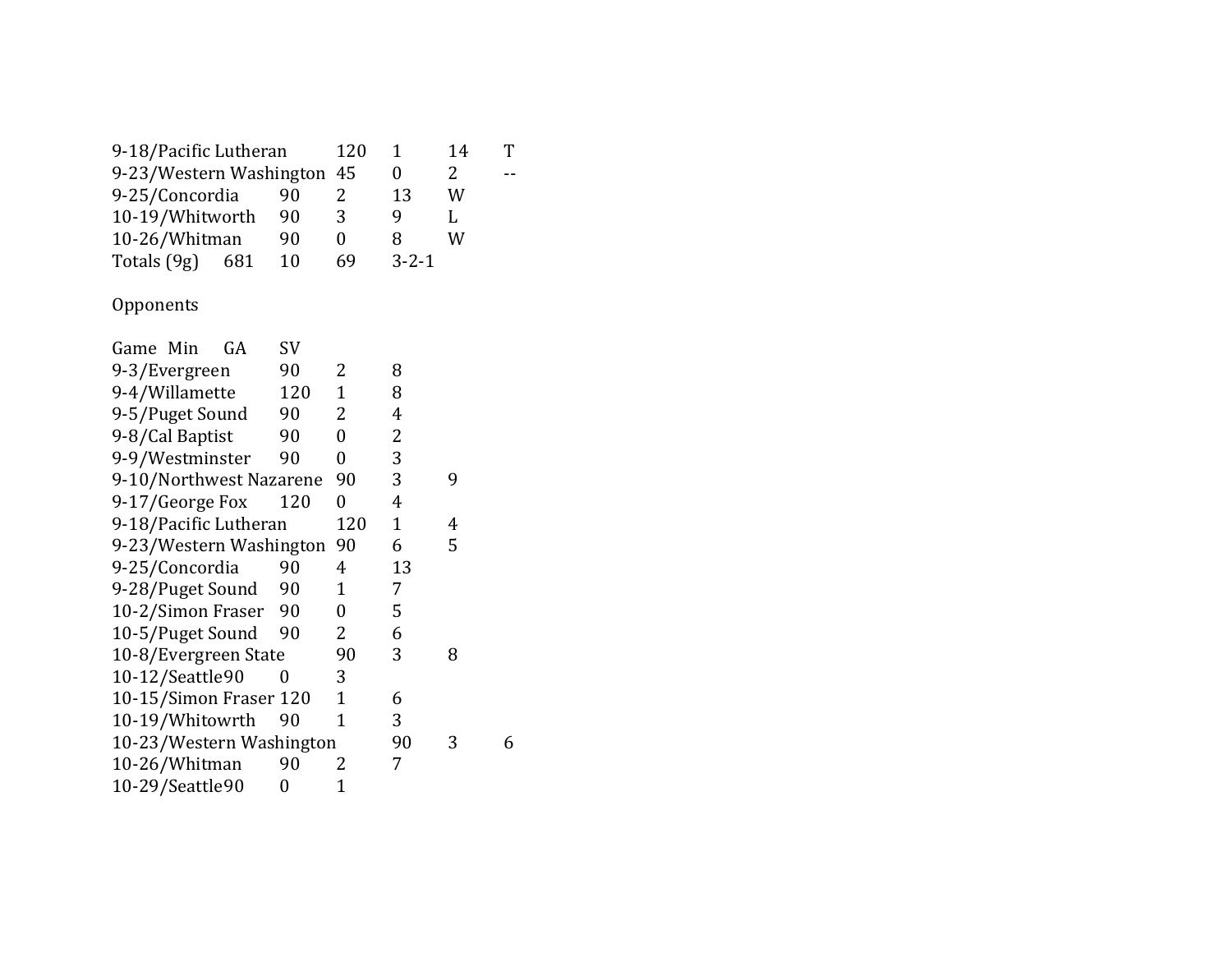| 9-18/Pacific Lutheran      |    |               |   |                             |  |
|----------------------------|----|---------------|---|-----------------------------|--|
| 9-23/Western Washington 45 |    |               |   |                             |  |
| 90                         |    | 13            | W |                             |  |
| 10-19/Whitworth<br>90      |    |               |   |                             |  |
| 10-26/Whitman<br>90        |    |               |   |                             |  |
| 10                         | 69 |               |   |                             |  |
|                            |    | 120<br>3<br>0 | x | 14<br>2<br>W<br>$3 - 2 - 1$ |  |

## Opponents

| Game Min                 |  | GA                     | SV   |                |    |   |   |
|--------------------------|--|------------------------|------|----------------|----|---|---|
| 9-3/Evergreen            |  |                        | 90   | 2              | 8  |   |   |
| 9-4/Willamette           |  |                        | 120  | $\mathbf 1$    | 8  |   |   |
| 9-5/Puget Sound          |  |                        | 90   | 2              | 4  |   |   |
| 9-8/Cal Baptist          |  |                        | 90   | 0              | 2  |   |   |
| 9-9/Westminster          |  |                        | 90   | 0              | 3  |   |   |
| 9-10/Northwest Nazarene  |  |                        |      | 90             | 3  | 9 |   |
| 9-17/George Fox          |  |                        | 120  | $\overline{0}$ | 4  |   |   |
| 9-18/Pacific Lutheran    |  |                        | 120  | $\mathbf{1}$   | 4  |   |   |
| 9-23/Western Washington  |  |                        |      | 90             | 6  | 5 |   |
| 9-25/Concordia           |  |                        | 90   | 4              | 13 |   |   |
| 9-28/Puget Sound         |  |                        | 90   | 1              | 7  |   |   |
| 10-2/Simon Fraser        |  |                        | - 90 | $\overline{0}$ | 5  |   |   |
| 10-5/Puget Sound         |  | 90                     | 2    | 6              |    |   |   |
| 10-8/Evergreen State     |  |                        |      | 90             | 3  | 8 |   |
| 10-12/Seattle90          |  |                        |      | 3              |    |   |   |
|                          |  | 10-15/Simon Fraser 120 |      | 1              | 6  |   |   |
| 10-19/Whitowrth          |  |                        | 90   | 1              | 3  |   |   |
| 10-23/Western Washington |  |                        |      |                | 90 | 3 | 6 |
| 10-26/Whitman            |  |                        | 90   | 2              | 7  |   |   |
| 10-29/Seattle90          |  |                        | 0    | 1              |    |   |   |